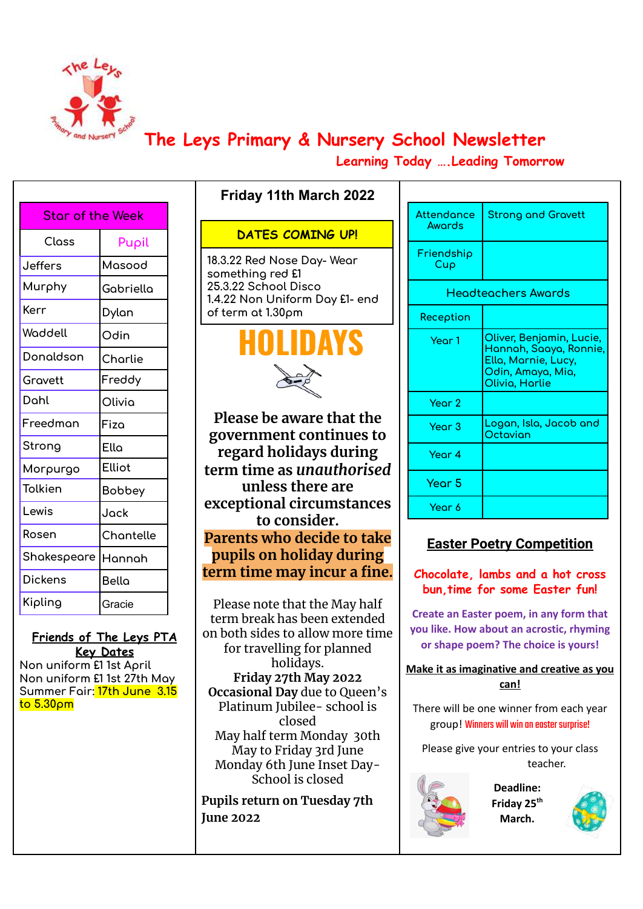

## **The Leys Primary & Nursery School Newsletter**

**Learning Today ….Leading Tomorrow**

| <b>Star of the Week</b> |           |  |  |
|-------------------------|-----------|--|--|
| Closs                   | Pupil     |  |  |
| <b>Jeffers</b>          | Masood    |  |  |
| Murphy                  | Gabriella |  |  |
| Kerr                    | Dylan     |  |  |
| Woddell                 | Odin      |  |  |
| Donaldson               | Charlie   |  |  |
| Gravett                 | Freddy    |  |  |
| Dahl                    | Olivia    |  |  |
| Freedman                | Fiza      |  |  |
| Strong                  | Ella      |  |  |
| Morpurgo                | Elliot    |  |  |
| Tolkien                 | Bobbey    |  |  |
| Lewis                   | Jack      |  |  |
| Rosen                   | Chantelle |  |  |
| Shakespeare             | Hannah    |  |  |
| <b>Dickens</b>          | Bella     |  |  |
| Kipling                 | Gracie    |  |  |
|                         |           |  |  |

**Friends of The Leys PTA Key Dates Non uniform £1 1st April**

**Non uniform £1 1st 27th May Summer Fair: 17th June 3.15 to 5.30pm**

### **DATES COMING UP!**

**Friday 11th March 2022**

**18.3.22 Red Nose Day- Wear something red £1 25.3.22 School Disco 1.4.22 Non Uniform Day £1- end of term at 1.30pm**



**Please be aware that the government continues to regard holidays during term time as** *unauthorised* **unless there are exceptional circumstances to consider. Parents who decide to take pupils on holiday during term time may incur a fine.**

Please note that the May half term break has been extended on both sides to allow more time for travelling for planned holidays. **Friday 27th May 2022 Occasional Day** due to Queen's Platinum Jubilee- school is closed May half term Monday 30th May to Friday 3rd June Monday 6th June Inset Day-School is closed

**Pupils return on Tuesday 7th June 2022**

| Attendonce<br>Awords | <b>Strong and Gravett</b>                                                                                        |  |  |
|----------------------|------------------------------------------------------------------------------------------------------------------|--|--|
| Friendship<br>Cup    |                                                                                                                  |  |  |
| Headteachers Awards  |                                                                                                                  |  |  |
| Reception            |                                                                                                                  |  |  |
| Year 1               | Oliver, Benjamin, Lucie,<br>Hannah, Saaya, Ronnie,<br>Ella, Marnie, Lucy,<br>Odin, Amaya, Mia,<br>Olivia, Harlie |  |  |
| Year 2               |                                                                                                                  |  |  |
| Year <sub>3</sub>    | Logan, Isla, Jacob and<br>Octavian                                                                               |  |  |
| Year 4               |                                                                                                                  |  |  |
| Year 5               |                                                                                                                  |  |  |
| Year 6               |                                                                                                                  |  |  |

#### **Easter Poetry Competition**

**Chocolate, lambs and a hot cross bun,time for some Easter fun!**

**Create an Easter poem, in any form that you like. How about an acrostic, rhyming or shape poem? The choice is yours!**

**Make it as imaginative and creative as you can!**

There will be one winner from each year group! Winners will win an easter surprise!

Please give your entries to your class teacher.



**Deadline: Friday 25 th March.**

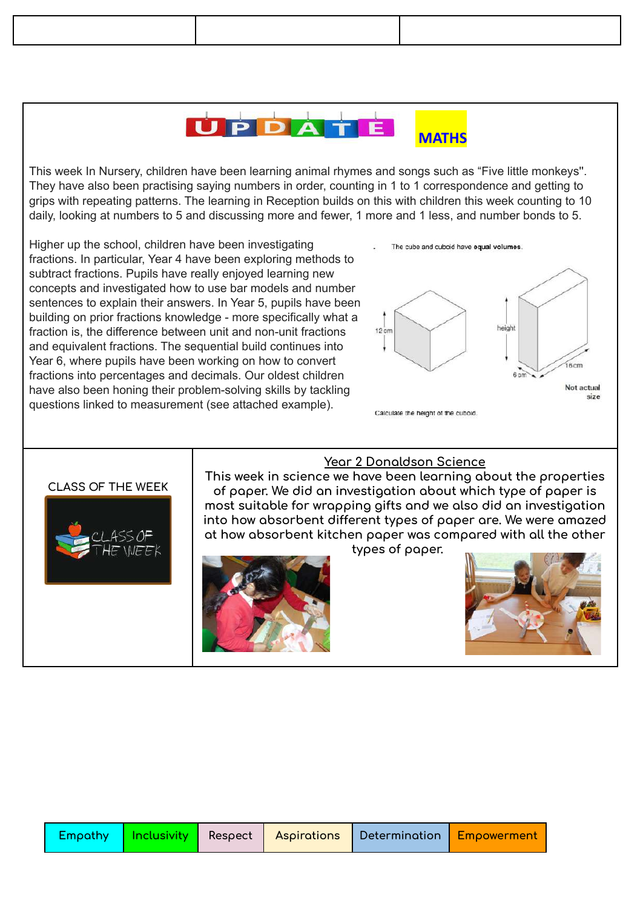#### PDAT **MATHS**

This week In Nursery, children have been learning animal rhymes and songs such as "Five little monkeys''. They have also been practising saying numbers in order, counting in 1 to 1 correspondence and getting to grips with repeating patterns. The learning in Reception builds on this with children this week counting to 10 daily, looking at numbers to 5 and discussing more and fewer, 1 more and 1 less, and number bonds to 5.

Higher up the school, children have been investigating fractions. In particular, Year 4 have been exploring methods to subtract fractions. Pupils have really enjoyed learning new concepts and investigated how to use bar models and number sentences to explain their answers. In Year 5, pupils have been building on prior fractions knowledge - more specifically what a fraction is, the difference between unit and non-unit fractions and equivalent fractions. The sequential build continues into Year 6, where pupils have been working on how to convert fractions into percentages and decimals. Our oldest children have also been honing their problem-solving skills by tackling questions linked to measurement (see attached example).



#### **CLASS OF THE WEEK**



#### **Year 2 Donaldson Science**

**This week in science we have been learning about the properties of paper. We did an investigation about which type of paper is most suitable for wrapping gifts and we also did an investigation into how absorbent different types of paper are. We were amazed at how absorbent kitchen paper was compared with all the other**



**types of paper.**



|  |  |  |  | Empathy   Inclusivity   Respect   Aspirations   Determination   Empowerment |  |
|--|--|--|--|-----------------------------------------------------------------------------|--|
|--|--|--|--|-----------------------------------------------------------------------------|--|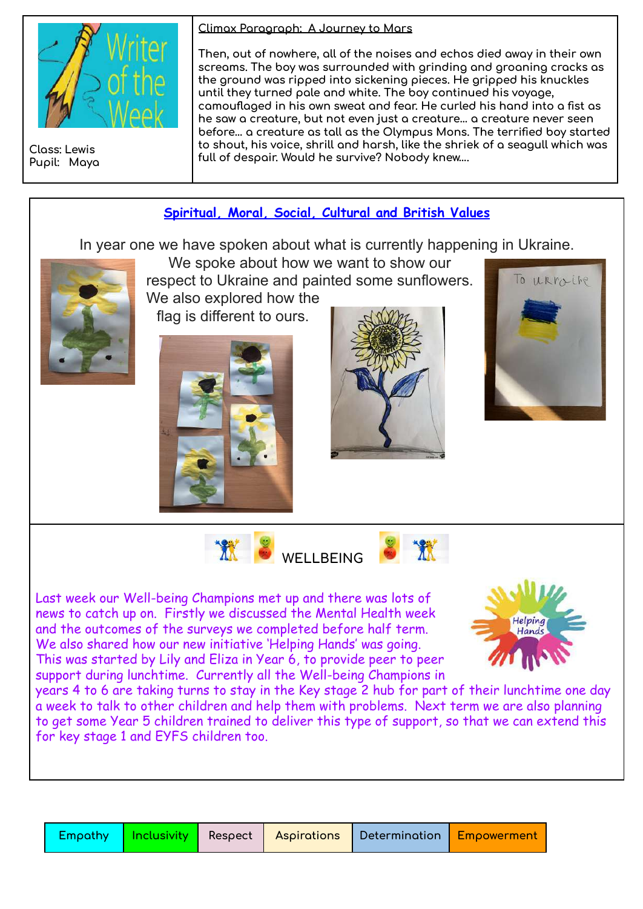

**Class: Lewis Pupil: Maya** **Climax Paragraph: A Journey to Mars**

**Then, out of nowhere, all of the noises and echos died away in their own screams. The boy was surrounded with grinding and groaning cracks as the ground was ripped into sickening pieces. He gripped his knuckles until they turned pale and white. The boy continued his voyage, camouflaged in his own sweat and fear. He curled his hand into a fist as he saw a creature, but not even just a creature… a creature never seen before… a creature as tall as the Olympus Mons. The terrified boy started to shout, his voice, shrill and harsh, like the shriek of a seagull which was full of despair. Would he survive? Nobody knew….**

# **Spiritual, Moral, Social, Cultural and British Values** In year one we have spoken about what is currently happening in Ukraine. We spoke about how we want to show our respect to Ukraine and painted some sunflowers. To LLRMINE We also explored how the flag is different to ours. **WELLBEING** Last week our Well-being Champions met up and there was lots of news to catch up on. Firstly we discussed the Mental Health week and the outcomes of the surveys we completed before half term. We also shared how our new initiative 'Helping Hands' was going. This was started by Lily and Eliza in Year 6, to provide peer to peer support during lunchtime. Currently all the Well-being Champions in years 4 to 6 are taking turns to stay in the Key stage 2 hub for part of their lunchtime one day a week to talk to other children and help them with problems. Next term we are also planning to get some Year 5 children trained to deliver this type of support, so that we can extend this for key stage 1 and EYFS children too.

|  | <b>Empathy</b>   Inclusivity   Respect   Aspirations   Determination <mark>  Empowerment  </mark> |  |  |  |
|--|---------------------------------------------------------------------------------------------------|--|--|--|
|--|---------------------------------------------------------------------------------------------------|--|--|--|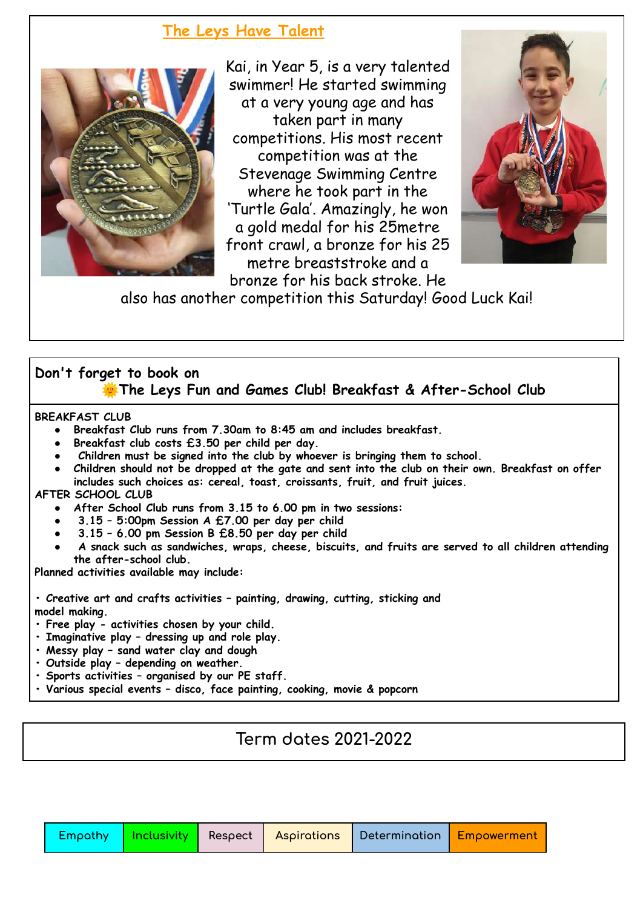## **The Leys Have Talent**



Kai, in Year 5, is a very talented swimmer! He started swimming at a very young age and has taken part in many competitions. His most recent competition was at the Stevenage Swimming Centre where he took part in the 'Turtle Gala'. Amazingly, he won a gold medal for his 25metre front crawl, a bronze for his 25 metre breaststroke and a bronze for his back stroke. He



also has another competition this Saturday! Good Luck Kai!

### **Don't forget to book on The Leys Fun and Games Club! Breakfast & After-School Club**

**BREAKFAST CLUB**

- **● Breakfast Club runs from 7.30am to 8:45 am and includes breakfast.**
- **● Breakfast club costs £3.50 per child per day.**
- **● Children must be signed into the club by whoever is bringing them to school.**
- Children should not be dropped at the gate and sent into the club on their own. Breakfast on offer **includes such choices as: cereal, toast, croissants, fruit, and fruit juices.**

#### **AFTER SCHOOL CLUB**

- **● After School Club runs from 3.15 to 6.00 pm in two sessions:**
- **● 3.15 – 5:00pm Session A £7.00 per day per child**
- **● 3.15 – 6.00 pm Session B £8.50 per day per child**
- **● A snack such as sandwiches, wraps, cheese, biscuits, and fruits are served to all children attending the after-school club.**

**Planned activities available may include:**

**• Creative art and crafts activities – painting, drawing, cutting, sticking and model making.**

- **• Free play - activities chosen by your child.**
- **• Imaginative play – dressing up and role play.**
- **• Messy play – sand water clay and dough**
- **• Outside play – depending on weather.**
- **• Sports activities – organised by our PE staff.**
- **• Various special events – disco, face painting, cooking, movie & popcorn**

**Term dates 2021-2022**

|  |  |  |  | Empathy   Inclusivity   Respect   Aspirations   Determination   Empowerment |  |
|--|--|--|--|-----------------------------------------------------------------------------|--|
|--|--|--|--|-----------------------------------------------------------------------------|--|